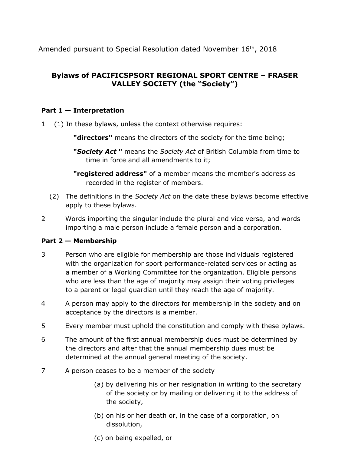Amended pursuant to Special Resolution dated November 16<sup>th</sup>, 2018

# **Bylaws of PACIFICSPSORT REGIONAL SPORT CENTRE – FRASER VALLEY SOCIETY (the "Society")**

# **Part 1 — Interpretation**

1 (1) In these bylaws, unless the context otherwise requires:

**"directors"** means the directors of the society for the time being;

**"***Society Act* **"** means the *Society Act* of British Columbia from time to time in force and all amendments to it;

**"registered address"** of a member means the member's address as recorded in the register of members.

- (2) The definitions in the *Society Act* on the date these bylaws become effective apply to these bylaws.
- 2 Words importing the singular include the plural and vice versa, and words importing a male person include a female person and a corporation.

# **Part 2 — Membership**

- 3 Person who are eligible for membership are those individuals registered with the organization for sport performance-related services or acting as a member of a Working Committee for the organization. Eligible persons who are less than the age of majority may assign their voting privileges to a parent or legal guardian until they reach the age of majority.
- 4 A person may apply to the directors for membership in the society and on acceptance by the directors is a member.
- 5 Every member must uphold the constitution and comply with these bylaws.
- 6 The amount of the first annual membership dues must be determined by the directors and after that the annual membership dues must be determined at the annual general meeting of the society.
- 7 A person ceases to be a member of the society
	- (a) by delivering his or her resignation in writing to the secretary of the society or by mailing or delivering it to the address of the society,
	- (b) on his or her death or, in the case of a corporation, on dissolution,
	- (c) on being expelled, or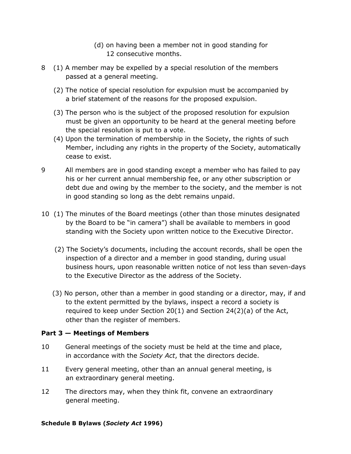- (d) on having been a member not in good standing for 12 consecutive months.
- 8 (1) A member may be expelled by a special resolution of the members passed at a general meeting.
	- (2) The notice of special resolution for expulsion must be accompanied by a brief statement of the reasons for the proposed expulsion.
	- (3) The person who is the subject of the proposed resolution for expulsion must be given an opportunity to be heard at the general meeting before the special resolution is put to a vote.
	- (4) Upon the termination of membership in the Society, the rights of such Member, including any rights in the property of the Society, automatically cease to exist.
- 9 All members are in good standing except a member who has failed to pay his or her current annual membership fee, or any other subscription or debt due and owing by the member to the society, and the member is not in good standing so long as the debt remains unpaid.
- 10 (1) The minutes of the Board meetings (other than those minutes designated by the Board to be "in camera") shall be available to members in good standing with the Society upon written notice to the Executive Director.
	- (2) The Society's documents, including the account records, shall be open the inspection of a director and a member in good standing, during usual business hours, upon reasonable written notice of not less than seven-days to the Executive Director as the address of the Society.
	- (3) No person, other than a member in good standing or a director, may, if and to the extent permitted by the bylaws, inspect a record a society is required to keep under Section 20(1) and Section 24(2)(a) of the Act, other than the register of members.

# **Part 3 — Meetings of Members**

- 10 General meetings of the society must be held at the time and place, in accordance with the *Society Act*, that the directors decide.
- 11 Every general meeting, other than an annual general meeting, is an extraordinary general meeting.
- 12 The directors may, when they think fit, convene an extraordinary general meeting.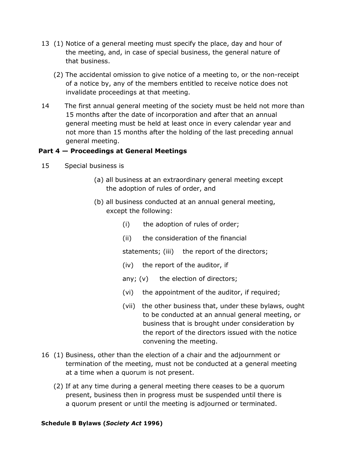- 13 (1) Notice of a general meeting must specify the place, day and hour of the meeting, and, in case of special business, the general nature of that business.
	- (2) The accidental omission to give notice of a meeting to, or the non-receipt of a notice by, any of the members entitled to receive notice does not invalidate proceedings at that meeting.
- 14 The first annual general meeting of the society must be held not more than 15 months after the date of incorporation and after that an annual general meeting must be held at least once in every calendar year and not more than 15 months after the holding of the last preceding annual general meeting.

# **Part 4 — Proceedings at General Meetings**

- 15 Special business is
	- (a) all business at an extraordinary general meeting except the adoption of rules of order, and
	- (b) all business conducted at an annual general meeting, except the following:
		- (i) the adoption of rules of order;
		- (ii) the consideration of the financial

statements; (iii) the report of the directors;

- (iv) the report of the auditor, if
- any; (v) the election of directors;
- (vi) the appointment of the auditor, if required;
- (vii) the other business that, under these bylaws, ought to be conducted at an annual general meeting, or business that is brought under consideration by the report of the directors issued with the notice convening the meeting.
- 16 (1) Business, other than the election of a chair and the adjournment or termination of the meeting, must not be conducted at a general meeting at a time when a quorum is not present.
	- (2) If at any time during a general meeting there ceases to be a quorum present, business then in progress must be suspended until there is a quorum present or until the meeting is adjourned or terminated.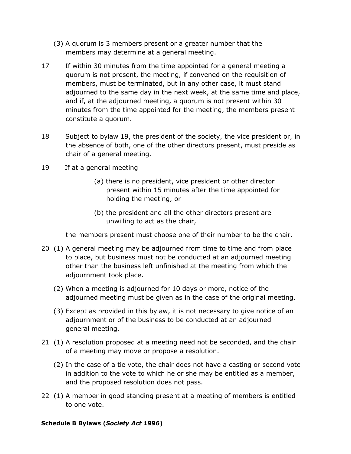- (3) A quorum is 3 members present or a greater number that the members may determine at a general meeting.
- 17 If within 30 minutes from the time appointed for a general meeting a quorum is not present, the meeting, if convened on the requisition of members, must be terminated, but in any other case, it must stand adjourned to the same day in the next week, at the same time and place, and if, at the adjourned meeting, a quorum is not present within 30 minutes from the time appointed for the meeting, the members present constitute a quorum.
- 18 Subject to bylaw 19, the president of the society, the vice president or, in the absence of both, one of the other directors present, must preside as chair of a general meeting.
- 19 If at a general meeting
	- (a) there is no president, vice president or other director present within 15 minutes after the time appointed for holding the meeting, or
	- (b) the president and all the other directors present are unwilling to act as the chair,

the members present must choose one of their number to be the chair.

- 20 (1) A general meeting may be adjourned from time to time and from place to place, but business must not be conducted at an adjourned meeting other than the business left unfinished at the meeting from which the adjournment took place.
	- (2) When a meeting is adjourned for 10 days or more, notice of the adjourned meeting must be given as in the case of the original meeting.
	- (3) Except as provided in this bylaw, it is not necessary to give notice of an adjournment or of the business to be conducted at an adjourned general meeting.
- 21 (1) A resolution proposed at a meeting need not be seconded, and the chair of a meeting may move or propose a resolution.
	- (2) In the case of a tie vote, the chair does not have a casting or second vote in addition to the vote to which he or she may be entitled as a member, and the proposed resolution does not pass.
- 22 (1) A member in good standing present at a meeting of members is entitled to one vote.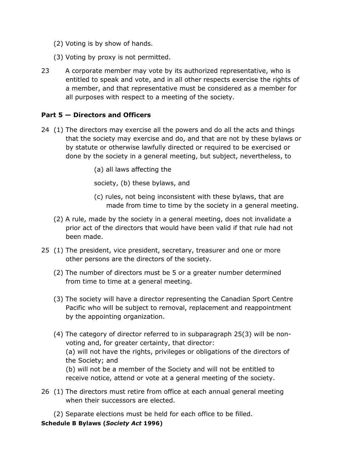- (2) Voting is by show of hands.
- (3) Voting by proxy is not permitted.
- 23 A corporate member may vote by its authorized representative, who is entitled to speak and vote, and in all other respects exercise the rights of a member, and that representative must be considered as a member for all purposes with respect to a meeting of the society.

# **Part 5 — Directors and Officers**

- 24 (1) The directors may exercise all the powers and do all the acts and things that the society may exercise and do, and that are not by these bylaws or by statute or otherwise lawfully directed or required to be exercised or done by the society in a general meeting, but subject, nevertheless, to
	- (a) all laws affecting the

society, (b) these bylaws, and

- (c) rules, not being inconsistent with these bylaws, that are made from time to time by the society in a general meeting.
- (2) A rule, made by the society in a general meeting, does not invalidate a prior act of the directors that would have been valid if that rule had not been made.
- 25 (1) The president, vice president, secretary, treasurer and one or more other persons are the directors of the society.
	- (2) The number of directors must be 5 or a greater number determined from time to time at a general meeting.
	- (3) The society will have a director representing the Canadian Sport Centre Pacific who will be subject to removal, replacement and reappointment by the appointing organization.
	- (4) The category of director referred to in subparagraph 25(3) will be nonvoting and, for greater certainty, that director: (a) will not have the rights, privileges or obligations of the directors of the Society; and (b) will not be a member of the Society and will not be entitled to receive notice, attend or vote at a general meeting of the society.
- 26 (1) The directors must retire from office at each annual general meeting when their successors are elected.
	- (2) Separate elections must be held for each office to be filled.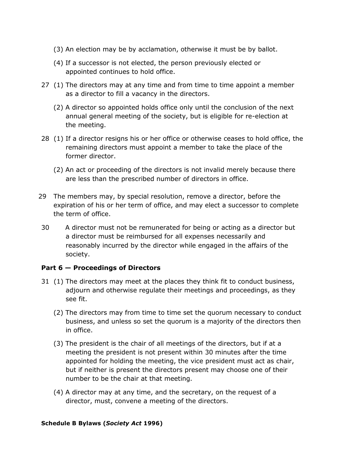- (3) An election may be by acclamation, otherwise it must be by ballot.
- (4) If a successor is not elected, the person previously elected or appointed continues to hold office.
- 27 (1) The directors may at any time and from time to time appoint a member as a director to fill a vacancy in the directors.
	- (2) A director so appointed holds office only until the conclusion of the next annual general meeting of the society, but is eligible for re-election at the meeting.
- 28 (1) If a director resigns his or her office or otherwise ceases to hold office, the remaining directors must appoint a member to take the place of the former director.
	- (2) An act or proceeding of the directors is not invalid merely because there are less than the prescribed number of directors in office.
- 29 The members may, by special resolution, remove a director, before the expiration of his or her term of office, and may elect a successor to complete the term of office.
- 30 A director must not be remunerated for being or acting as a director but a director must be reimbursed for all expenses necessarily and reasonably incurred by the director while engaged in the affairs of the society.

# **Part 6 — Proceedings of Directors**

- 31 (1) The directors may meet at the places they think fit to conduct business, adjourn and otherwise regulate their meetings and proceedings, as they see fit.
	- (2) The directors may from time to time set the quorum necessary to conduct business, and unless so set the quorum is a majority of the directors then in office.
	- (3) The president is the chair of all meetings of the directors, but if at a meeting the president is not present within 30 minutes after the time appointed for holding the meeting, the vice president must act as chair, but if neither is present the directors present may choose one of their number to be the chair at that meeting.
	- (4) A director may at any time, and the secretary, on the request of a director, must, convene a meeting of the directors.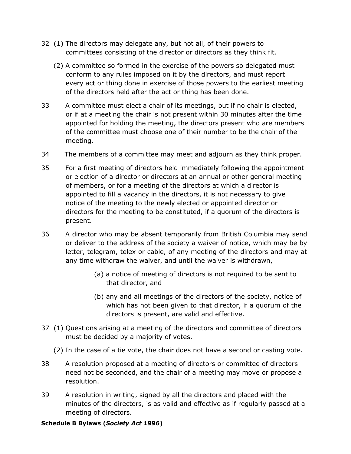- 32 (1) The directors may delegate any, but not all, of their powers to committees consisting of the director or directors as they think fit.
	- (2) A committee so formed in the exercise of the powers so delegated must conform to any rules imposed on it by the directors, and must report every act or thing done in exercise of those powers to the earliest meeting of the directors held after the act or thing has been done.
- 33 A committee must elect a chair of its meetings, but if no chair is elected, or if at a meeting the chair is not present within 30 minutes after the time appointed for holding the meeting, the directors present who are members of the committee must choose one of their number to be the chair of the meeting.
- 34 The members of a committee may meet and adjourn as they think proper.
- 35 For a first meeting of directors held immediately following the appointment or election of a director or directors at an annual or other general meeting of members, or for a meeting of the directors at which a director is appointed to fill a vacancy in the directors, it is not necessary to give notice of the meeting to the newly elected or appointed director or directors for the meeting to be constituted, if a quorum of the directors is present.
- 36 A director who may be absent temporarily from British Columbia may send or deliver to the address of the society a waiver of notice, which may be by letter, telegram, telex or cable, of any meeting of the directors and may at any time withdraw the waiver, and until the waiver is withdrawn,
	- (a) a notice of meeting of directors is not required to be sent to that director, and
	- (b) any and all meetings of the directors of the society, notice of which has not been given to that director, if a quorum of the directors is present, are valid and effective.
- 37 (1) Questions arising at a meeting of the directors and committee of directors must be decided by a majority of votes.
	- (2) In the case of a tie vote, the chair does not have a second or casting vote.
- 38 A resolution proposed at a meeting of directors or committee of directors need not be seconded, and the chair of a meeting may move or propose a resolution.
- 39 A resolution in writing, signed by all the directors and placed with the minutes of the directors, is as valid and effective as if regularly passed at a meeting of directors.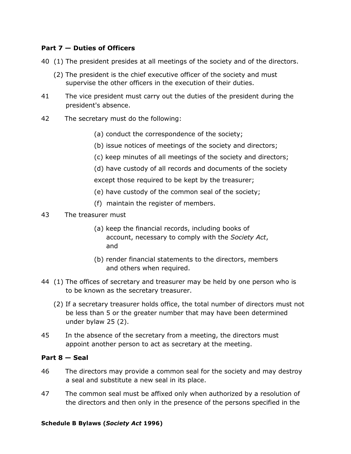# **Part 7 — Duties of Officers**

- 40 (1) The president presides at all meetings of the society and of the directors.
	- (2) The president is the chief executive officer of the society and must supervise the other officers in the execution of their duties.
- 41 The vice president must carry out the duties of the president during the president's absence.
- 42 The secretary must do the following:
	- (a) conduct the correspondence of the society;
	- (b) issue notices of meetings of the society and directors;
	- (c) keep minutes of all meetings of the society and directors;
	- (d) have custody of all records and documents of the society
	- except those required to be kept by the treasurer;
	- (e) have custody of the common seal of the society;
	- (f) maintain the register of members.
- 43 The treasurer must
	- (a) keep the financial records, including books of account, necessary to comply with the *Society Act*, and
	- (b) render financial statements to the directors, members and others when required.
- 44 (1) The offices of secretary and treasurer may be held by one person who is to be known as the secretary treasurer.
	- (2) If a secretary treasurer holds office, the total number of directors must not be less than 5 or the greater number that may have been determined under bylaw 25 (2).
- 45 In the absence of the secretary from a meeting, the directors must appoint another person to act as secretary at the meeting.

#### **Part 8 — Seal**

- 46 The directors may provide a common seal for the society and may destroy a seal and substitute a new seal in its place.
- 47 The common seal must be affixed only when authorized by a resolution of the directors and then only in the presence of the persons specified in the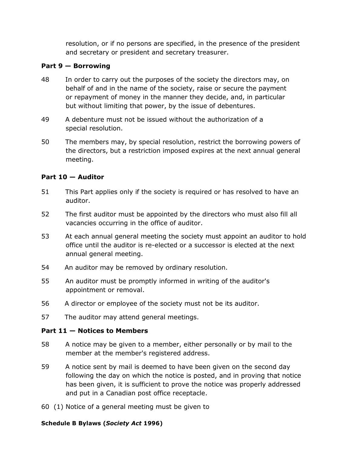resolution, or if no persons are specified, in the presence of the president and secretary or president and secretary treasurer.

### **Part 9 — Borrowing**

- 48 In order to carry out the purposes of the society the directors may, on behalf of and in the name of the society, raise or secure the payment or repayment of money in the manner they decide, and, in particular but without limiting that power, by the issue of debentures.
- 49 A debenture must not be issued without the authorization of a special resolution.
- 50 The members may, by special resolution, restrict the borrowing powers of the directors, but a restriction imposed expires at the next annual general meeting.

# **Part 10 — Auditor**

- 51 This Part applies only if the society is required or has resolved to have an auditor.
- 52 The first auditor must be appointed by the directors who must also fill all vacancies occurring in the office of auditor.
- 53 At each annual general meeting the society must appoint an auditor to hold office until the auditor is re-elected or a successor is elected at the next annual general meeting.
- 54 An auditor may be removed by ordinary resolution.
- 55 An auditor must be promptly informed in writing of the auditor's appointment or removal.
- 56 A director or employee of the society must not be its auditor.
- 57 The auditor may attend general meetings.

# **Part 11 — Notices to Members**

- 58 A notice may be given to a member, either personally or by mail to the member at the member's registered address.
- 59 A notice sent by mail is deemed to have been given on the second day following the day on which the notice is posted, and in proving that notice has been given, it is sufficient to prove the notice was properly addressed and put in a Canadian post office receptacle.
- 60 (1) Notice of a general meeting must be given to